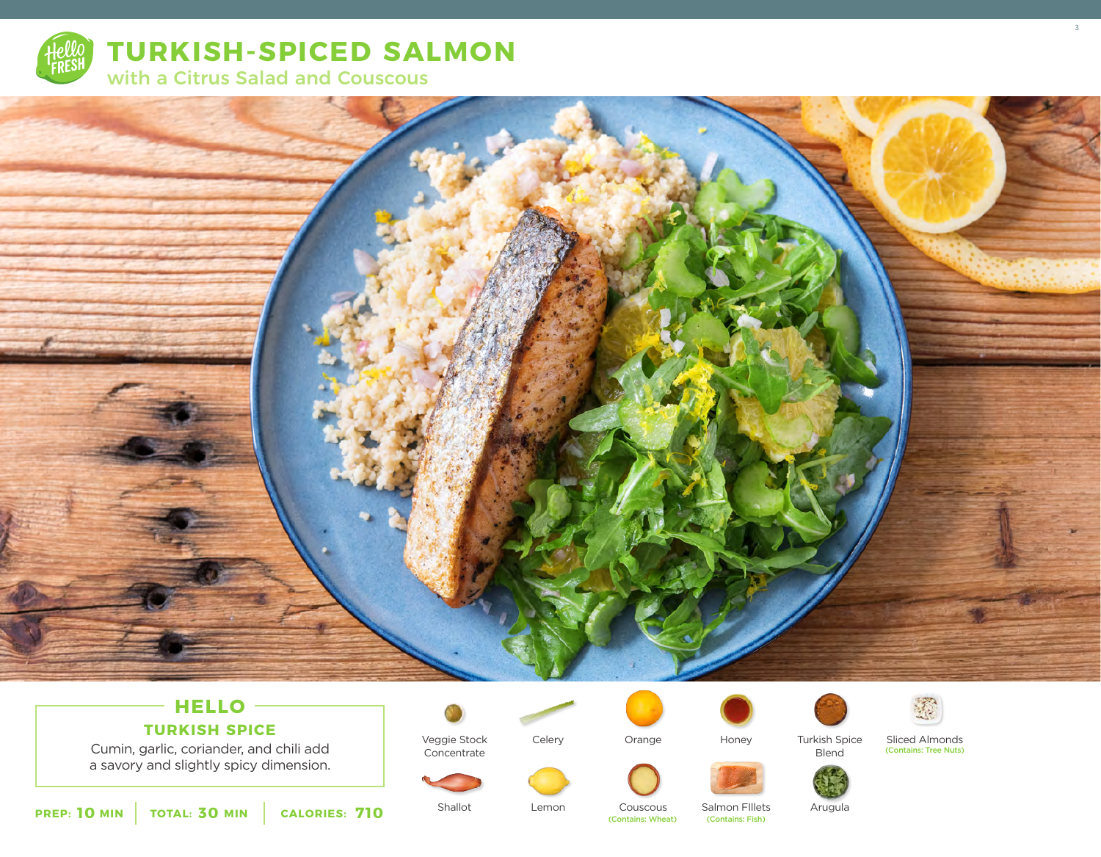



## **HELLO**

**TURKISH SPICE**

Cumin, garlic, coriander, and chili add a savory and slightly spicy dimension.



Concentrate

Veggie Stock

Celery

Lemon



Honey





Blend

Sliced Almonds (Contains: Tree Nuts) 3







**10** MIN | TOTAL: 30 MIN | CALORIES: 710

Shallot

Couscous (Contains: Wheat)

Orange

Salmon Fillets<br>(Contains: Fish)

Arugula